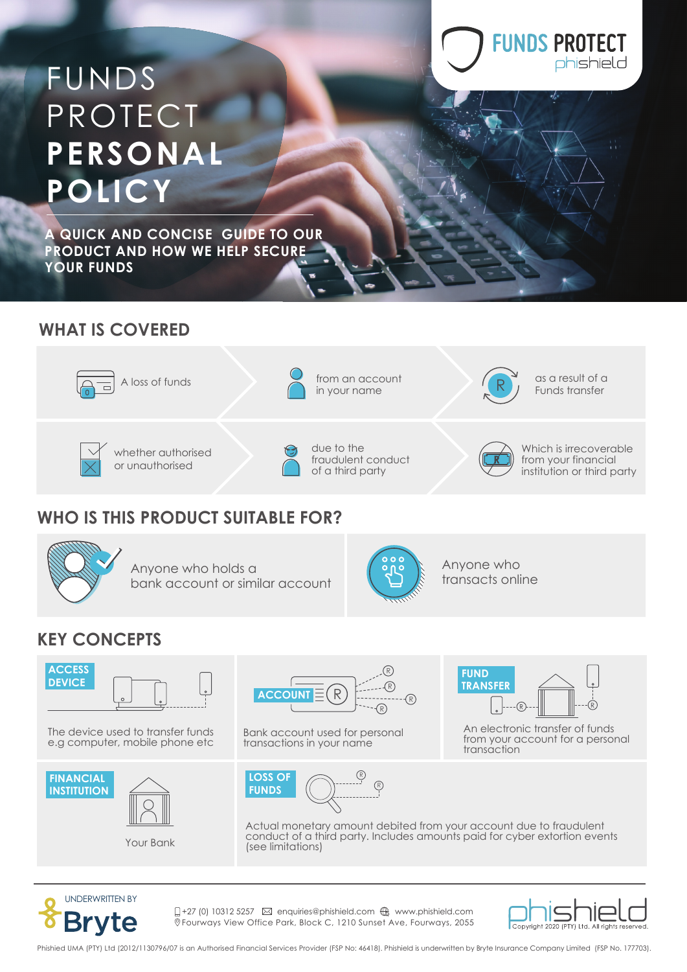# FUNDS PROTECT **PERSONAL POLICY**

**A QUICK AND CONCISE GUIDE TO OUR PRODUCT AND HOW WE HELP SECURE YOUR FUNDS**

### **WHAT IS COVERED**



### **WHO IS THIS PRODUCT SUITABLE FOR?**



Anyone who holds a bank account or similar account



Anyone who transacts online

### **KEY CONCEPTS**



The device used to transfer funds e.g computer, mobile phone etc







Bank account used for personal transactions in your name



An electronic transfer of funds **FUND TRANSFER**

from your account for a personal transaction

**FUNDS PROTECT** 

phishield





 $\Box$ +27 (0) 10312 5257  $\boxtimes$  enquiries@phishield.com  $\bigoplus$  www.phishield.com Fourways View Office Park, Block C, 1210 Sunset Ave, Fourways, 2055



Phishied UMA (PTY) Ltd (2012/1130796/07 is an Authorised Financial Services Provider (FSP No: 46418). Phishield is underwritten by Bryte Insurance Company Limited (FSP No. 177703).